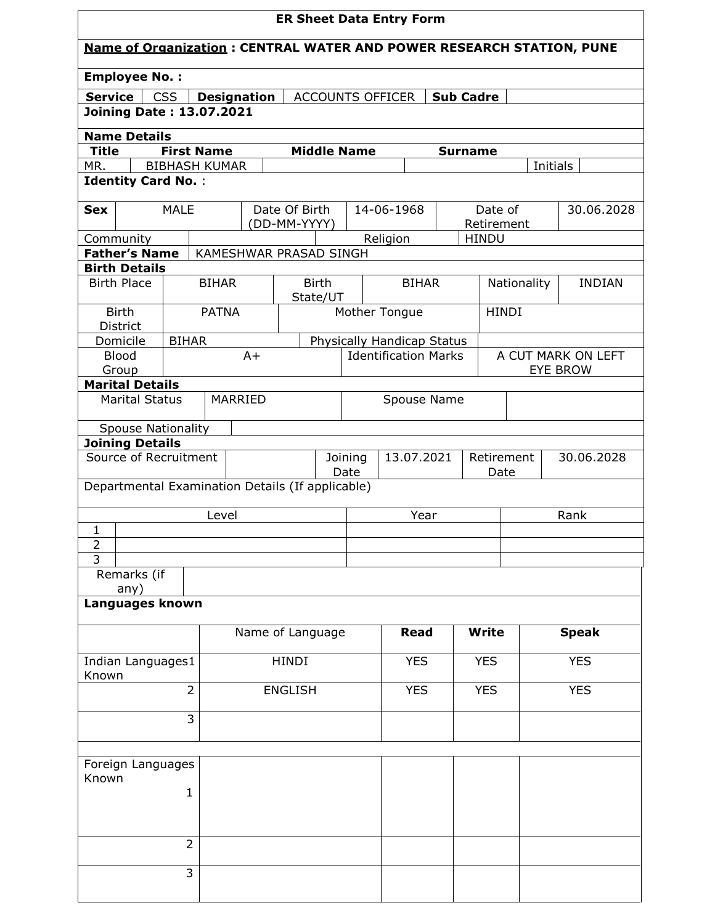| <b>ER Sheet Data Entry Form</b>                                             |              |                                           |                    |                        |              |                    |                             |  |                            |             |            |                                       |
|-----------------------------------------------------------------------------|--------------|-------------------------------------------|--------------------|------------------------|--------------|--------------------|-----------------------------|--|----------------------------|-------------|------------|---------------------------------------|
| <b>Name of Organization: CENTRAL WATER AND POWER RESEARCH STATION, PUNE</b> |              |                                           |                    |                        |              |                    |                             |  |                            |             |            |                                       |
| <b>Employee No.:</b>                                                        |              |                                           |                    |                        |              |                    |                             |  |                            |             |            |                                       |
| <b>Service</b>                                                              | <b>CSS</b>   |                                           | <b>Designation</b> |                        |              |                    | ACCOUNTS OFFICER            |  | <b>Sub Cadre</b>           |             |            |                                       |
| <b>Joining Date: 13.07.2021</b>                                             |              |                                           |                    |                        |              |                    |                             |  |                            |             |            |                                       |
| <b>Name Details</b>                                                         |              |                                           |                    |                        |              |                    |                             |  |                            |             |            |                                       |
| <b>Title</b><br>MR.                                                         |              | <b>First Name</b><br><b>BIBHASH KUMAR</b> |                    |                        |              | <b>Middle Name</b> |                             |  | <b>Surname</b>             |             | Initials   |                                       |
| <b>Identity Card No.:</b>                                                   |              |                                           |                    |                        |              |                    |                             |  |                            |             |            |                                       |
|                                                                             |              |                                           |                    |                        |              |                    |                             |  |                            |             |            |                                       |
| <b>Sex</b>                                                                  | <b>MALE</b>  |                                           |                    | Date Of Birth          |              |                    | 14-06-1968                  |  | Date of                    |             |            | 30.06.2028                            |
| Community                                                                   |              |                                           |                    | (DD-MM-YYYY)           |              |                    | Religion                    |  | Retirement<br><b>HINDU</b> |             |            |                                       |
| <b>Father's Name</b>                                                        |              |                                           |                    | KAMESHWAR PRASAD SINGH |              |                    |                             |  |                            |             |            |                                       |
| <b>Birth Details</b>                                                        |              |                                           |                    |                        |              |                    |                             |  |                            |             |            |                                       |
| <b>Birth Place</b>                                                          |              | <b>BIHAR</b>                              |                    |                        | <b>Birth</b> |                    | <b>BIHAR</b>                |  |                            | Nationality |            | <b>INDIAN</b>                         |
| <b>Birth</b>                                                                |              | <b>PATNA</b>                              |                    |                        | State/UT     |                    | Mother Tongue               |  | <b>HINDI</b>               |             |            |                                       |
| District                                                                    |              |                                           |                    |                        |              |                    |                             |  |                            |             |            |                                       |
| Domicile                                                                    | <b>BIHAR</b> |                                           |                    |                        |              |                    | Physically Handicap Status  |  |                            |             |            |                                       |
| <b>Blood</b><br>Group                                                       |              |                                           | $A+$               |                        |              |                    | <b>Identification Marks</b> |  |                            |             |            | A CUT MARK ON LEFT<br><b>EYE BROW</b> |
| <b>Marital Details</b>                                                      |              |                                           |                    |                        |              |                    |                             |  |                            |             |            |                                       |
| <b>Marital Status</b>                                                       |              |                                           | MARRIED            |                        |              |                    | Spouse Name                 |  |                            |             |            |                                       |
|                                                                             |              |                                           |                    |                        |              |                    |                             |  |                            |             |            |                                       |
| <b>Spouse Nationality</b><br><b>Joining Details</b>                         |              |                                           |                    |                        |              |                    |                             |  |                            |             |            |                                       |
| Source of Recruitment                                                       |              |                                           |                    |                        |              | Joining            | 13.07.2021                  |  | Retirement                 |             |            | 30.06.2028                            |
|                                                                             |              |                                           |                    |                        |              | Date               |                             |  | Date                       |             |            |                                       |
| Departmental Examination Details (If applicable)                            |              |                                           |                    |                        |              |                    |                             |  |                            |             |            |                                       |
|                                                                             |              | Level                                     |                    |                        |              |                    | Year                        |  |                            |             | Rank       |                                       |
| $\mathbf{1}$                                                                |              |                                           |                    |                        |              |                    |                             |  |                            |             |            |                                       |
| $\overline{2}$<br>$\overline{3}$                                            |              |                                           |                    |                        |              |                    |                             |  |                            |             |            |                                       |
| Remarks (if                                                                 |              |                                           |                    |                        |              |                    |                             |  |                            |             |            |                                       |
| any)                                                                        |              |                                           |                    |                        |              |                    |                             |  |                            |             |            |                                       |
| Languages known                                                             |              |                                           |                    |                        |              |                    |                             |  |                            |             |            |                                       |
|                                                                             |              |                                           |                    | Name of Language       |              |                    | <b>Read</b>                 |  | <b>Write</b>               |             |            | <b>Speak</b>                          |
|                                                                             |              |                                           |                    |                        |              |                    |                             |  |                            |             |            |                                       |
| Indian Languages1                                                           |              |                                           |                    | <b>HINDI</b>           |              |                    | <b>YES</b>                  |  | <b>YES</b>                 |             | <b>YES</b> |                                       |
| Known                                                                       |              | $\overline{2}$                            |                    | <b>ENGLISH</b>         |              |                    | <b>YES</b>                  |  | <b>YES</b>                 |             | <b>YES</b> |                                       |
|                                                                             |              |                                           |                    |                        |              |                    |                             |  |                            |             |            |                                       |
|                                                                             |              | 3                                         |                    |                        |              |                    |                             |  |                            |             |            |                                       |
|                                                                             |              |                                           |                    |                        |              |                    |                             |  |                            |             |            |                                       |
| Foreign Languages                                                           |              |                                           |                    |                        |              |                    |                             |  |                            |             |            |                                       |
| Known                                                                       |              |                                           |                    |                        |              |                    |                             |  |                            |             |            |                                       |
|                                                                             | 1            |                                           |                    |                        |              |                    |                             |  |                            |             |            |                                       |
|                                                                             |              |                                           |                    |                        |              |                    |                             |  |                            |             |            |                                       |
|                                                                             |              | $\overline{2}$                            |                    |                        |              |                    |                             |  |                            |             |            |                                       |
|                                                                             |              |                                           |                    |                        |              |                    |                             |  |                            |             |            |                                       |
|                                                                             | 3            |                                           |                    |                        |              |                    |                             |  |                            |             |            |                                       |
|                                                                             |              |                                           |                    |                        |              |                    |                             |  |                            |             |            |                                       |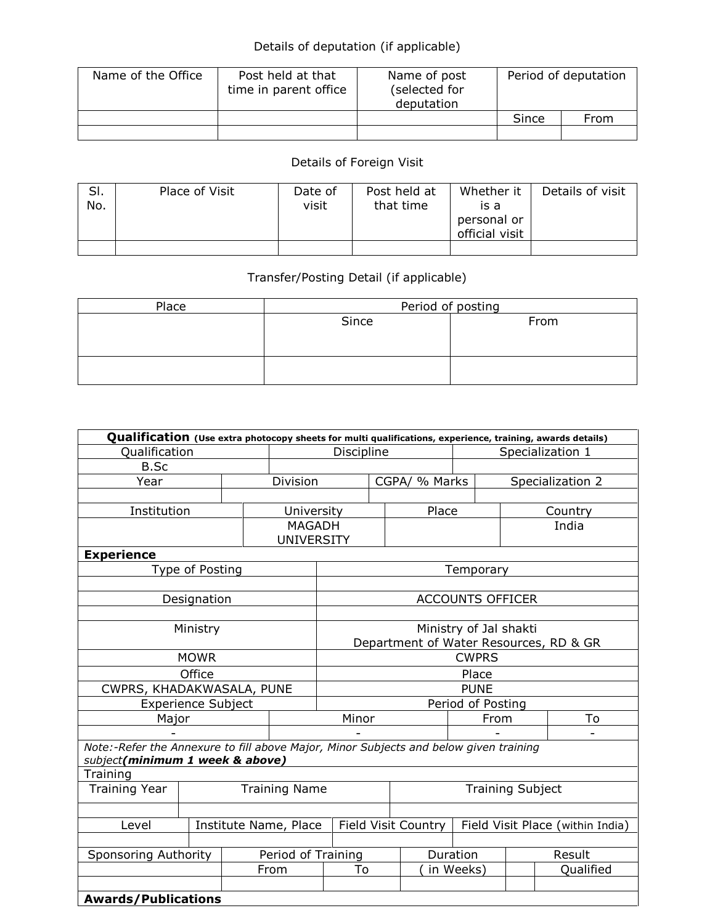## Details of deputation (if applicable)

| Name of the Office | Post held at that<br>time in parent office | Name of post<br>(selected for<br>deputation | Period of deputation |      |  |
|--------------------|--------------------------------------------|---------------------------------------------|----------------------|------|--|
|                    |                                            |                                             | Since                | From |  |
|                    |                                            |                                             |                      |      |  |

## Details of Foreign Visit

| SI.<br>No. | Place of Visit | Date of<br>visit | Post held at<br>that time | Whether it<br>is a<br>personal or<br>official visit | Details of visit |
|------------|----------------|------------------|---------------------------|-----------------------------------------------------|------------------|
|            |                |                  |                           |                                                     |                  |

## Transfer/Posting Detail (if applicable)

| Place | Period of posting |      |  |  |  |  |  |
|-------|-------------------|------|--|--|--|--|--|
|       | Since             | From |  |  |  |  |  |
|       |                   |      |  |  |  |  |  |
|       |                   |      |  |  |  |  |  |
|       |                   |      |  |  |  |  |  |
|       |                   |      |  |  |  |  |  |

| Qualification (Use extra photocopy sheets for multi qualifications, experience, training, awards details)                |                    |  |                                    |                                        |  |               |                                  |                  |           |  |
|--------------------------------------------------------------------------------------------------------------------------|--------------------|--|------------------------------------|----------------------------------------|--|---------------|----------------------------------|------------------|-----------|--|
| Qualification                                                                                                            |                    |  |                                    | Discipline                             |  |               | Specialization 1                 |                  |           |  |
| B.Sc                                                                                                                     |                    |  |                                    |                                        |  |               |                                  |                  |           |  |
| Year                                                                                                                     |                    |  | Division                           |                                        |  | CGPA/ % Marks |                                  | Specialization 2 |           |  |
|                                                                                                                          |                    |  |                                    |                                        |  |               |                                  |                  |           |  |
| Institution                                                                                                              |                    |  | University                         |                                        |  | Place         |                                  | Country          |           |  |
|                                                                                                                          |                    |  | <b>MAGADH</b><br><b>UNIVERSITY</b> |                                        |  |               |                                  |                  | India     |  |
| <b>Experience</b>                                                                                                        |                    |  |                                    |                                        |  |               |                                  |                  |           |  |
|                                                                                                                          | Type of Posting    |  |                                    |                                        |  |               | Temporary                        |                  |           |  |
|                                                                                                                          |                    |  |                                    |                                        |  |               |                                  |                  |           |  |
|                                                                                                                          | Designation        |  |                                    |                                        |  |               | <b>ACCOUNTS OFFICER</b>          |                  |           |  |
|                                                                                                                          |                    |  |                                    |                                        |  |               |                                  |                  |           |  |
|                                                                                                                          | Ministry           |  |                                    | Ministry of Jal shakti                 |  |               |                                  |                  |           |  |
|                                                                                                                          |                    |  |                                    | Department of Water Resources, RD & GR |  |               |                                  |                  |           |  |
|                                                                                                                          | <b>MOWR</b>        |  |                                    | <b>CWPRS</b>                           |  |               |                                  |                  |           |  |
|                                                                                                                          | Office             |  |                                    | Place                                  |  |               |                                  |                  |           |  |
| CWPRS, KHADAKWASALA, PUNE                                                                                                |                    |  |                                    | <b>PUNE</b>                            |  |               |                                  |                  |           |  |
|                                                                                                                          | Experience Subject |  |                                    | Period of Posting                      |  |               |                                  |                  |           |  |
| Major                                                                                                                    |                    |  |                                    | Minor                                  |  |               | From                             |                  | To        |  |
|                                                                                                                          |                    |  |                                    |                                        |  |               |                                  |                  |           |  |
| Note:-Refer the Annexure to fill above Major, Minor Subjects and below given training<br>subject(minimum 1 week & above) |                    |  |                                    |                                        |  |               |                                  |                  |           |  |
| Training                                                                                                                 |                    |  |                                    |                                        |  |               |                                  |                  |           |  |
| Training Year<br><b>Training Name</b>                                                                                    |                    |  |                                    | <b>Training Subject</b>                |  |               |                                  |                  |           |  |
|                                                                                                                          |                    |  |                                    |                                        |  |               |                                  |                  |           |  |
| Level                                                                                                                    |                    |  | Institute Name, Place              | Field Visit Country                    |  |               | Field Visit Place (within India) |                  |           |  |
|                                                                                                                          |                    |  |                                    |                                        |  |               |                                  |                  |           |  |
| Sponsoring Authority                                                                                                     |                    |  | Period of Training                 |                                        |  |               | Duration                         |                  | Result    |  |
|                                                                                                                          |                    |  | From                               | To                                     |  |               | in Weeks)                        |                  | Qualified |  |
|                                                                                                                          |                    |  |                                    |                                        |  |               |                                  |                  |           |  |
| <b>Awards/Publications</b>                                                                                               |                    |  |                                    |                                        |  |               |                                  |                  |           |  |